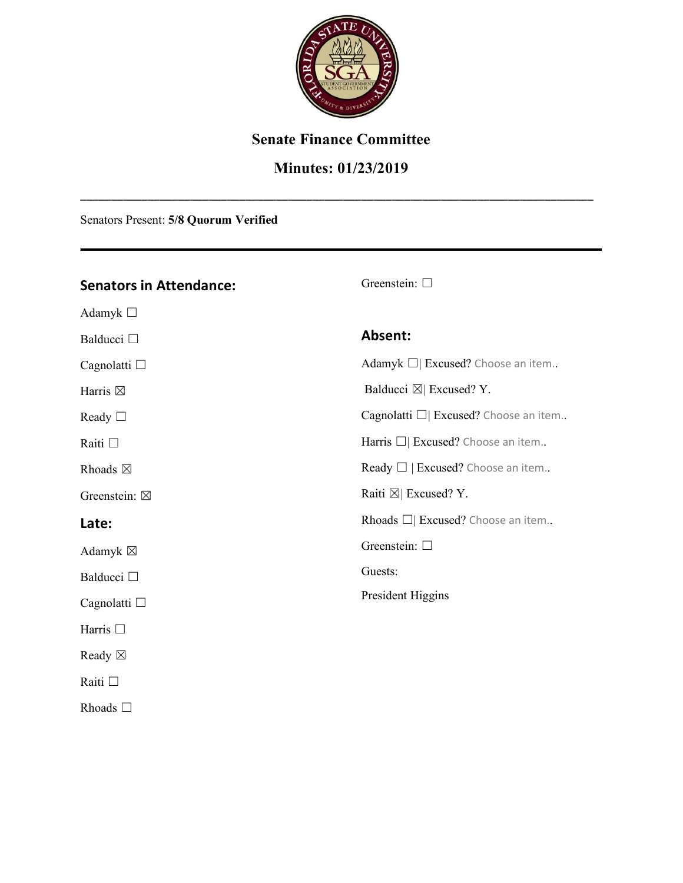

### **Senate Finance Committee**

### **Minutes: 01/23/2019**

\_\_\_\_\_\_\_\_\_\_\_\_\_\_\_\_\_\_\_\_\_\_\_\_\_\_\_\_\_\_\_\_\_\_\_\_\_\_\_\_\_\_\_\_\_\_\_\_\_\_\_\_\_\_\_\_\_\_\_\_\_\_\_\_\_\_\_\_\_\_\_\_\_\_\_\_\_\_\_\_\_\_\_\_

Senators Present: **5/8 Quorum Verified**

### **Senators in Attendance:**

Adamyk ☐

Balducci □

Cagnolatti □

Harris  $\boxtimes$ 

Ready □

Raiti ☐

Rhoads  $\boxtimes$ 

Greenstein:  $\boxtimes$ 

### **Late:**

Adamyk  $\boxtimes$ 

Balducci □

Cagnolatti □

Harris □

Ready ☒

Raiti ☐

Rhoads ☐

#### Greenstein: □

### **Absent:**

Adamyk □ Excused? Choose an item.. Balducci  $\boxtimes$  Excused? Y. Cagnolatti □ Excused? Choose an item.. Harris □ Excused? Choose an item.. Ready  $\Box$  | Excused? Choose an item.. Raiti  $\boxtimes$  Excused? Y. Rhoads ☐| Excused? Choose an item.. Greenstein: □

Guests:

President Higgins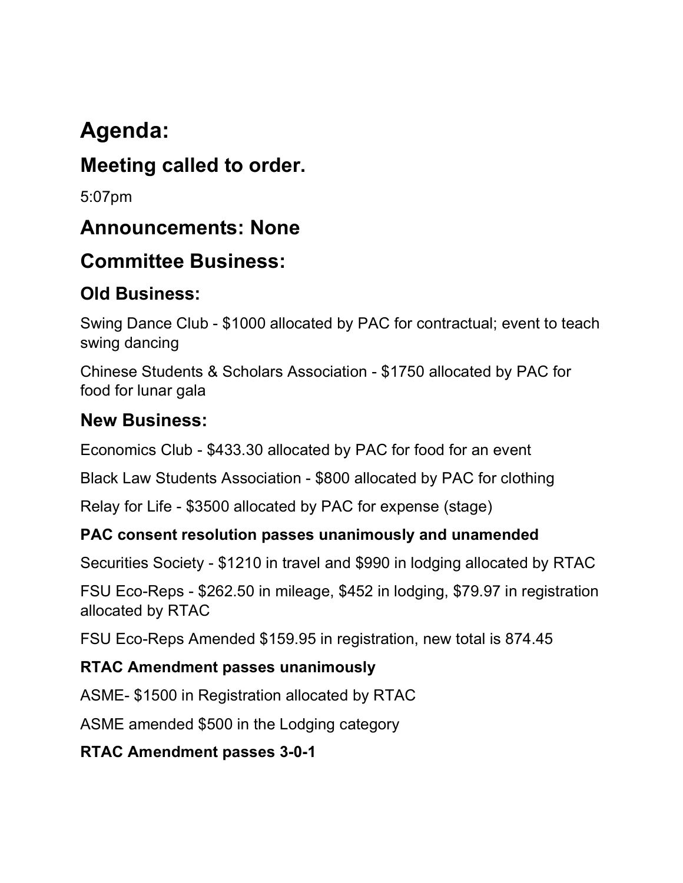# **Agenda:**

# **Meeting called to order.**

5:07pm

# **Announcements: None**

# **Committee Business:**

# **Old Business:**

Swing Dance Club - \$1000 allocated by PAC for contractual; event to teach swing dancing

Chinese Students & Scholars Association - \$1750 allocated by PAC for food for lunar gala

## **New Business:**

Economics Club - \$433.30 allocated by PAC for food for an event

Black Law Students Association - \$800 allocated by PAC for clothing

Relay for Life - \$3500 allocated by PAC for expense (stage)

## **PAC consent resolution passes unanimously and unamended**

Securities Society - \$1210 in travel and \$990 in lodging allocated by RTAC

FSU Eco-Reps - \$262.50 in mileage, \$452 in lodging, \$79.97 in registration allocated by RTAC

FSU Eco-Reps Amended \$159.95 in registration, new total is 874.45

## **RTAC Amendment passes unanimously**

ASME- \$1500 in Registration allocated by RTAC

ASME amended \$500 in the Lodging category

## **RTAC Amendment passes 3-0-1**